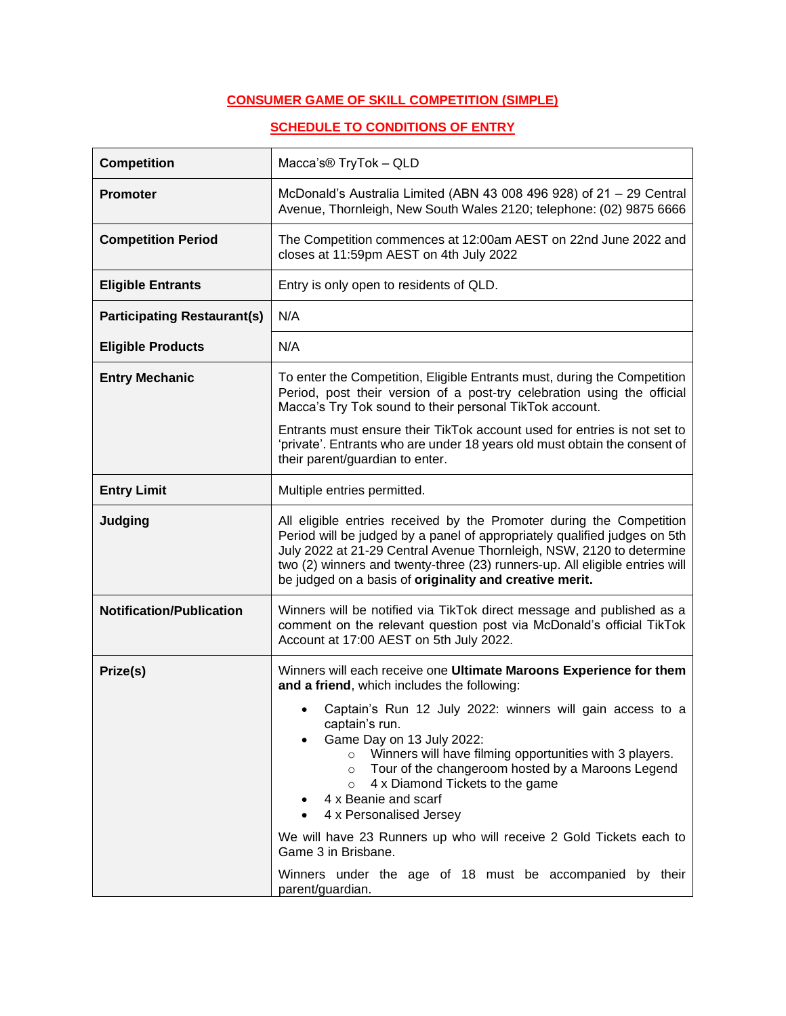# **CONSUMER GAME OF SKILL COMPETITION (SIMPLE)**

## **SCHEDULE TO CONDITIONS OF ENTRY**

| <b>Competition</b>                 | Macca's <sup>®</sup> TryTok - QLD                                                                                                                                                                                                                                                                                                                                   |
|------------------------------------|---------------------------------------------------------------------------------------------------------------------------------------------------------------------------------------------------------------------------------------------------------------------------------------------------------------------------------------------------------------------|
| <b>Promoter</b>                    | McDonald's Australia Limited (ABN 43 008 496 928) of 21 - 29 Central<br>Avenue, Thornleigh, New South Wales 2120; telephone: (02) 9875 6666                                                                                                                                                                                                                         |
| <b>Competition Period</b>          | The Competition commences at 12:00am AEST on 22nd June 2022 and<br>closes at 11:59pm AEST on 4th July 2022                                                                                                                                                                                                                                                          |
| <b>Eligible Entrants</b>           | Entry is only open to residents of QLD.                                                                                                                                                                                                                                                                                                                             |
| <b>Participating Restaurant(s)</b> | N/A                                                                                                                                                                                                                                                                                                                                                                 |
| <b>Eligible Products</b>           | N/A                                                                                                                                                                                                                                                                                                                                                                 |
| <b>Entry Mechanic</b>              | To enter the Competition, Eligible Entrants must, during the Competition<br>Period, post their version of a post-try celebration using the official<br>Macca's Try Tok sound to their personal TikTok account.                                                                                                                                                      |
|                                    | Entrants must ensure their TikTok account used for entries is not set to<br>'private'. Entrants who are under 18 years old must obtain the consent of<br>their parent/guardian to enter.                                                                                                                                                                            |
| <b>Entry Limit</b>                 | Multiple entries permitted.                                                                                                                                                                                                                                                                                                                                         |
| Judging                            | All eligible entries received by the Promoter during the Competition<br>Period will be judged by a panel of appropriately qualified judges on 5th<br>July 2022 at 21-29 Central Avenue Thornleigh, NSW, 2120 to determine<br>two (2) winners and twenty-three (23) runners-up. All eligible entries will<br>be judged on a basis of originality and creative merit. |
| <b>Notification/Publication</b>    | Winners will be notified via TikTok direct message and published as a<br>comment on the relevant question post via McDonald's official TikTok<br>Account at 17:00 AEST on 5th July 2022.                                                                                                                                                                            |
| Prize(s)                           | Winners will each receive one Ultimate Maroons Experience for them<br>and a friend, which includes the following:                                                                                                                                                                                                                                                   |
|                                    | Captain's Run 12 July 2022: winners will gain access to a<br>captain's run.<br>Game Day on 13 July 2022:<br>Winners will have filming opportunities with 3 players.<br>$\circ$<br>Tour of the changeroom hosted by a Maroons Legend<br>$\circ$<br>4 x Diamond Tickets to the game<br>$\circ$<br>4 x Beanie and scarf<br>4 x Personalised Jersey                     |
|                                    | We will have 23 Runners up who will receive 2 Gold Tickets each to<br>Game 3 in Brisbane.                                                                                                                                                                                                                                                                           |
|                                    | Winners under the age of 18 must be accompanied by their<br>parent/guardian.                                                                                                                                                                                                                                                                                        |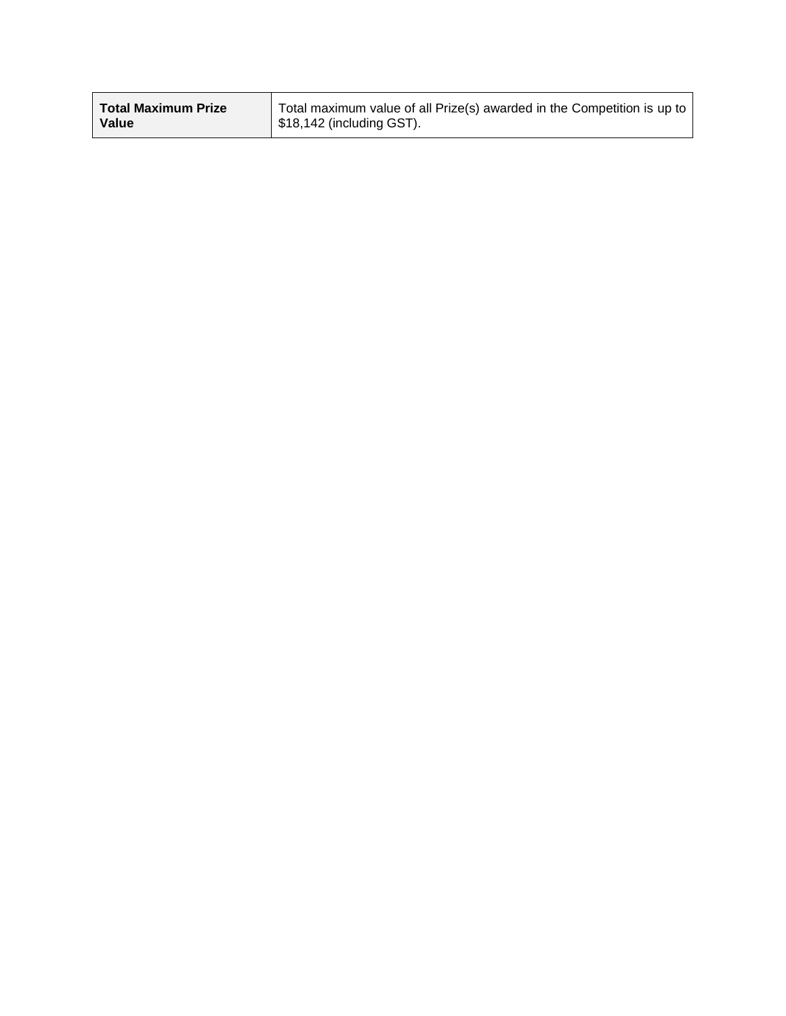| <b>Total Maximum Prize</b> | Total maximum value of all Prize(s) awarded in the Competition is up to |
|----------------------------|-------------------------------------------------------------------------|
| Value                      | $\vert$ \$18,142 (including GST).                                       |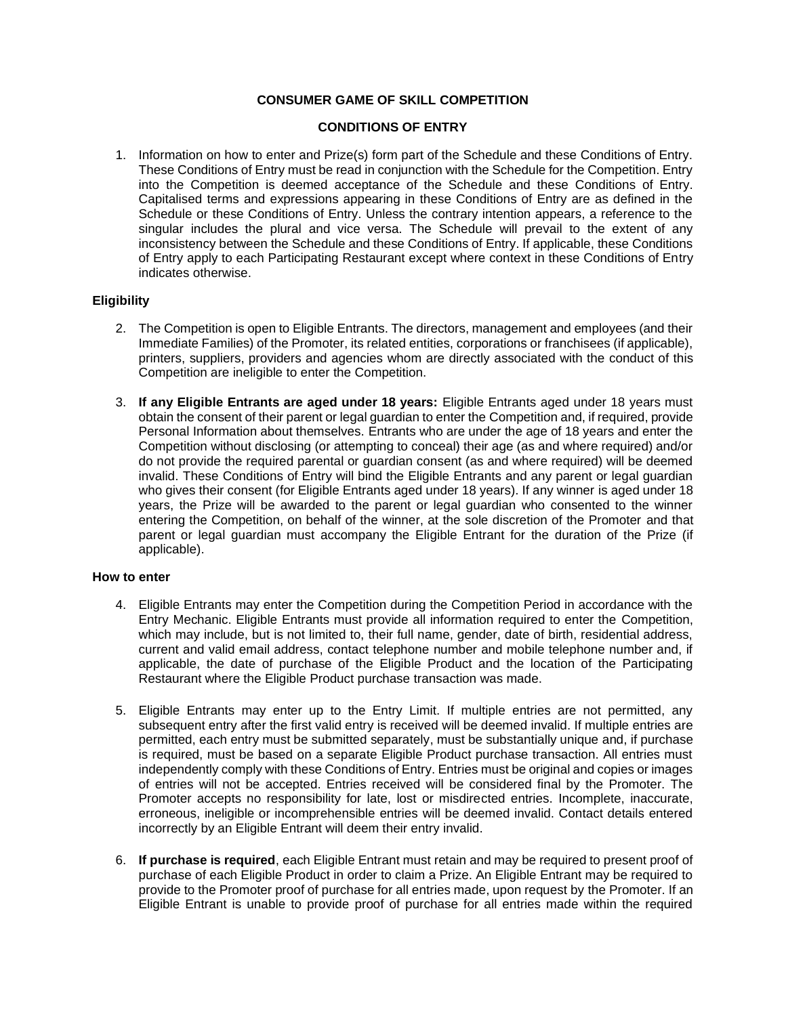### **CONSUMER GAME OF SKILL COMPETITION**

#### **CONDITIONS OF ENTRY**

1. Information on how to enter and Prize(s) form part of the Schedule and these Conditions of Entry. These Conditions of Entry must be read in conjunction with the Schedule for the Competition. Entry into the Competition is deemed acceptance of the Schedule and these Conditions of Entry. Capitalised terms and expressions appearing in these Conditions of Entry are as defined in the Schedule or these Conditions of Entry. Unless the contrary intention appears, a reference to the singular includes the plural and vice versa. The Schedule will prevail to the extent of any inconsistency between the Schedule and these Conditions of Entry. If applicable, these Conditions of Entry apply to each Participating Restaurant except where context in these Conditions of Entry indicates otherwise.

### **Eligibility**

- 2. The Competition is open to Eligible Entrants. The directors, management and employees (and their Immediate Families) of the Promoter, its related entities, corporations or franchisees (if applicable), printers, suppliers, providers and agencies whom are directly associated with the conduct of this Competition are ineligible to enter the Competition.
- 3. **If any Eligible Entrants are aged under 18 years:** Eligible Entrants aged under 18 years must obtain the consent of their parent or legal guardian to enter the Competition and, if required, provide Personal Information about themselves. Entrants who are under the age of 18 years and enter the Competition without disclosing (or attempting to conceal) their age (as and where required) and/or do not provide the required parental or guardian consent (as and where required) will be deemed invalid. These Conditions of Entry will bind the Eligible Entrants and any parent or legal guardian who gives their consent (for Eligible Entrants aged under 18 years). If any winner is aged under 18 years, the Prize will be awarded to the parent or legal guardian who consented to the winner entering the Competition, on behalf of the winner, at the sole discretion of the Promoter and that parent or legal guardian must accompany the Eligible Entrant for the duration of the Prize (if applicable).

#### **How to enter**

- 4. Eligible Entrants may enter the Competition during the Competition Period in accordance with the Entry Mechanic. Eligible Entrants must provide all information required to enter the Competition, which may include, but is not limited to, their full name, gender, date of birth, residential address, current and valid email address, contact telephone number and mobile telephone number and, if applicable, the date of purchase of the Eligible Product and the location of the Participating Restaurant where the Eligible Product purchase transaction was made.
- 5. Eligible Entrants may enter up to the Entry Limit. If multiple entries are not permitted, any subsequent entry after the first valid entry is received will be deemed invalid. If multiple entries are permitted, each entry must be submitted separately, must be substantially unique and, if purchase is required, must be based on a separate Eligible Product purchase transaction. All entries must independently comply with these Conditions of Entry. Entries must be original and copies or images of entries will not be accepted. Entries received will be considered final by the Promoter. The Promoter accepts no responsibility for late, lost or misdirected entries. Incomplete, inaccurate, erroneous, ineligible or incomprehensible entries will be deemed invalid. Contact details entered incorrectly by an Eligible Entrant will deem their entry invalid.
- 6. **If purchase is required**, each Eligible Entrant must retain and may be required to present proof of purchase of each Eligible Product in order to claim a Prize. An Eligible Entrant may be required to provide to the Promoter proof of purchase for all entries made, upon request by the Promoter. If an Eligible Entrant is unable to provide proof of purchase for all entries made within the required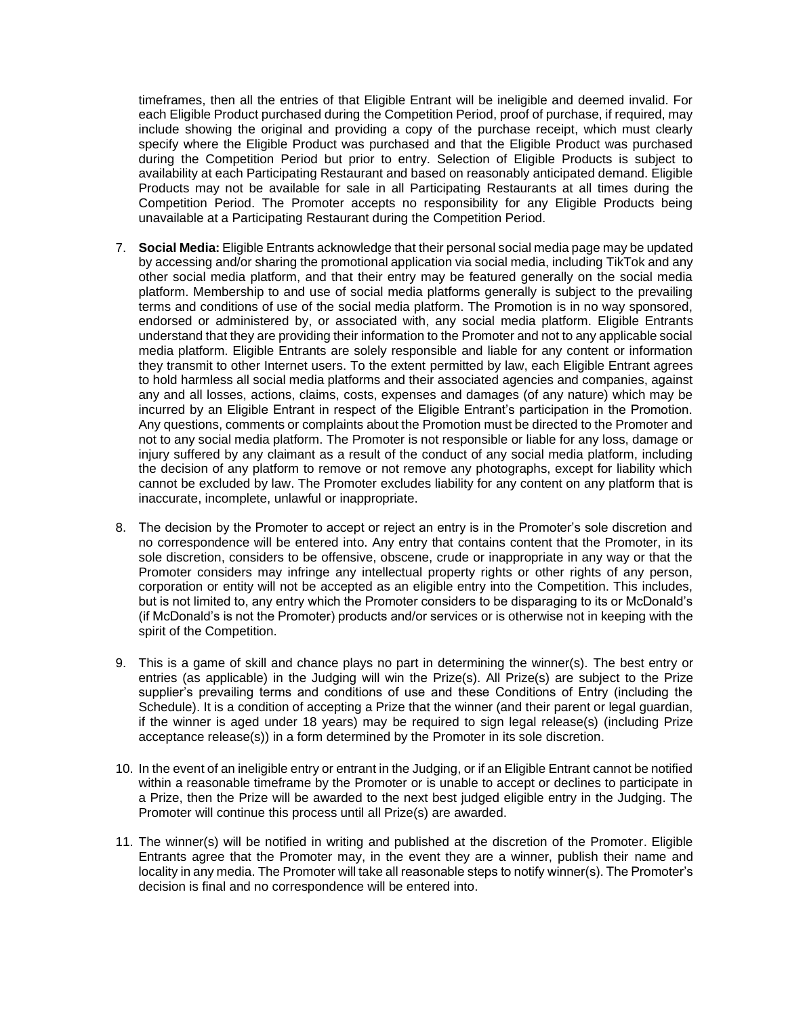timeframes, then all the entries of that Eligible Entrant will be ineligible and deemed invalid. For each Eligible Product purchased during the Competition Period, proof of purchase, if required, may include showing the original and providing a copy of the purchase receipt, which must clearly specify where the Eligible Product was purchased and that the Eligible Product was purchased during the Competition Period but prior to entry. Selection of Eligible Products is subject to availability at each Participating Restaurant and based on reasonably anticipated demand. Eligible Products may not be available for sale in all Participating Restaurants at all times during the Competition Period. The Promoter accepts no responsibility for any Eligible Products being unavailable at a Participating Restaurant during the Competition Period.

- 7. **Social Media:** Eligible Entrants acknowledge that their personal social media page may be updated by accessing and/or sharing the promotional application via social media, including TikTok and any other social media platform, and that their entry may be featured generally on the social media platform. Membership to and use of social media platforms generally is subject to the prevailing terms and conditions of use of the social media platform. The Promotion is in no way sponsored, endorsed or administered by, or associated with, any social media platform. Eligible Entrants understand that they are providing their information to the Promoter and not to any applicable social media platform. Eligible Entrants are solely responsible and liable for any content or information they transmit to other Internet users. To the extent permitted by law, each Eligible Entrant agrees to hold harmless all social media platforms and their associated agencies and companies, against any and all losses, actions, claims, costs, expenses and damages (of any nature) which may be incurred by an Eligible Entrant in respect of the Eligible Entrant's participation in the Promotion. Any questions, comments or complaints about the Promotion must be directed to the Promoter and not to any social media platform. The Promoter is not responsible or liable for any loss, damage or injury suffered by any claimant as a result of the conduct of any social media platform, including the decision of any platform to remove or not remove any photographs, except for liability which cannot be excluded by law. The Promoter excludes liability for any content on any platform that is inaccurate, incomplete, unlawful or inappropriate.
- 8. The decision by the Promoter to accept or reject an entry is in the Promoter's sole discretion and no correspondence will be entered into. Any entry that contains content that the Promoter, in its sole discretion, considers to be offensive, obscene, crude or inappropriate in any way or that the Promoter considers may infringe any intellectual property rights or other rights of any person, corporation or entity will not be accepted as an eligible entry into the Competition. This includes, but is not limited to, any entry which the Promoter considers to be disparaging to its or McDonald's (if McDonald's is not the Promoter) products and/or services or is otherwise not in keeping with the spirit of the Competition.
- 9. This is a game of skill and chance plays no part in determining the winner(s). The best entry or entries (as applicable) in the Judging will win the Prize(s). All Prize(s) are subject to the Prize supplier's prevailing terms and conditions of use and these Conditions of Entry (including the Schedule). It is a condition of accepting a Prize that the winner (and their parent or legal guardian, if the winner is aged under 18 years) may be required to sign legal release(s) (including Prize acceptance release(s)) in a form determined by the Promoter in its sole discretion.
- 10. In the event of an ineligible entry or entrant in the Judging, or if an Eligible Entrant cannot be notified within a reasonable timeframe by the Promoter or is unable to accept or declines to participate in a Prize, then the Prize will be awarded to the next best judged eligible entry in the Judging. The Promoter will continue this process until all Prize(s) are awarded.
- 11. The winner(s) will be notified in writing and published at the discretion of the Promoter. Eligible Entrants agree that the Promoter may, in the event they are a winner, publish their name and locality in any media. The Promoter will take all reasonable steps to notify winner(s). The Promoter's decision is final and no correspondence will be entered into.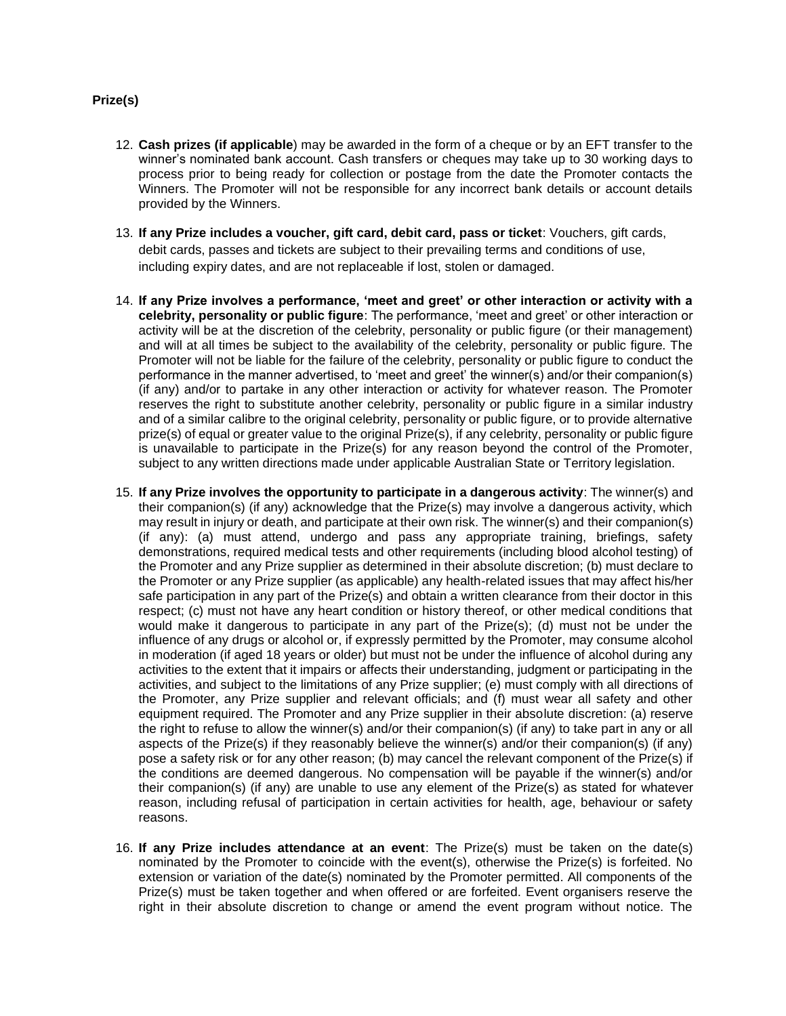### **Prize(s)**

- 12. **Cash prizes (if applicable**) may be awarded in the form of a cheque or by an EFT transfer to the winner's nominated bank account. Cash transfers or cheques may take up to 30 working days to process prior to being ready for collection or postage from the date the Promoter contacts the Winners. The Promoter will not be responsible for any incorrect bank details or account details provided by the Winners.
- 13. **If any Prize includes a voucher, gift card, debit card, pass or ticket**: Vouchers, gift cards, debit cards, passes and tickets are subject to their prevailing terms and conditions of use, including expiry dates, and are not replaceable if lost, stolen or damaged.
- 14. **If any Prize involves a performance, 'meet and greet' or other interaction or activity with a celebrity, personality or public figure**: The performance, 'meet and greet' or other interaction or activity will be at the discretion of the celebrity, personality or public figure (or their management) and will at all times be subject to the availability of the celebrity, personality or public figure. The Promoter will not be liable for the failure of the celebrity, personality or public figure to conduct the performance in the manner advertised, to 'meet and greet' the winner(s) and/or their companion(s) (if any) and/or to partake in any other interaction or activity for whatever reason. The Promoter reserves the right to substitute another celebrity, personality or public figure in a similar industry and of a similar calibre to the original celebrity, personality or public figure, or to provide alternative prize(s) of equal or greater value to the original Prize(s), if any celebrity, personality or public figure is unavailable to participate in the Prize(s) for any reason beyond the control of the Promoter, subject to any written directions made under applicable Australian State or Territory legislation.
- 15. **If any Prize involves the opportunity to participate in a dangerous activity**: The winner(s) and their companion(s) (if any) acknowledge that the Prize(s) may involve a dangerous activity, which may result in injury or death, and participate at their own risk. The winner(s) and their companion(s) (if any): (a) must attend, undergo and pass any appropriate training, briefings, safety demonstrations, required medical tests and other requirements (including blood alcohol testing) of the Promoter and any Prize supplier as determined in their absolute discretion; (b) must declare to the Promoter or any Prize supplier (as applicable) any health-related issues that may affect his/her safe participation in any part of the Prize(s) and obtain a written clearance from their doctor in this respect; (c) must not have any heart condition or history thereof, or other medical conditions that would make it dangerous to participate in any part of the Prize(s); (d) must not be under the influence of any drugs or alcohol or, if expressly permitted by the Promoter, may consume alcohol in moderation (if aged 18 years or older) but must not be under the influence of alcohol during any activities to the extent that it impairs or affects their understanding, judgment or participating in the activities, and subject to the limitations of any Prize supplier; (e) must comply with all directions of the Promoter, any Prize supplier and relevant officials; and (f) must wear all safety and other equipment required. The Promoter and any Prize supplier in their absolute discretion: (a) reserve the right to refuse to allow the winner(s) and/or their companion(s) (if any) to take part in any or all aspects of the Prize(s) if they reasonably believe the winner(s) and/or their companion(s) (if any) pose a safety risk or for any other reason; (b) may cancel the relevant component of the Prize(s) if the conditions are deemed dangerous. No compensation will be payable if the winner(s) and/or their companion(s) (if any) are unable to use any element of the Prize(s) as stated for whatever reason, including refusal of participation in certain activities for health, age, behaviour or safety reasons.
- 16. **If any Prize includes attendance at an event**: The Prize(s) must be taken on the date(s) nominated by the Promoter to coincide with the event(s), otherwise the Prize(s) is forfeited. No extension or variation of the date(s) nominated by the Promoter permitted. All components of the Prize(s) must be taken together and when offered or are forfeited. Event organisers reserve the right in their absolute discretion to change or amend the event program without notice. The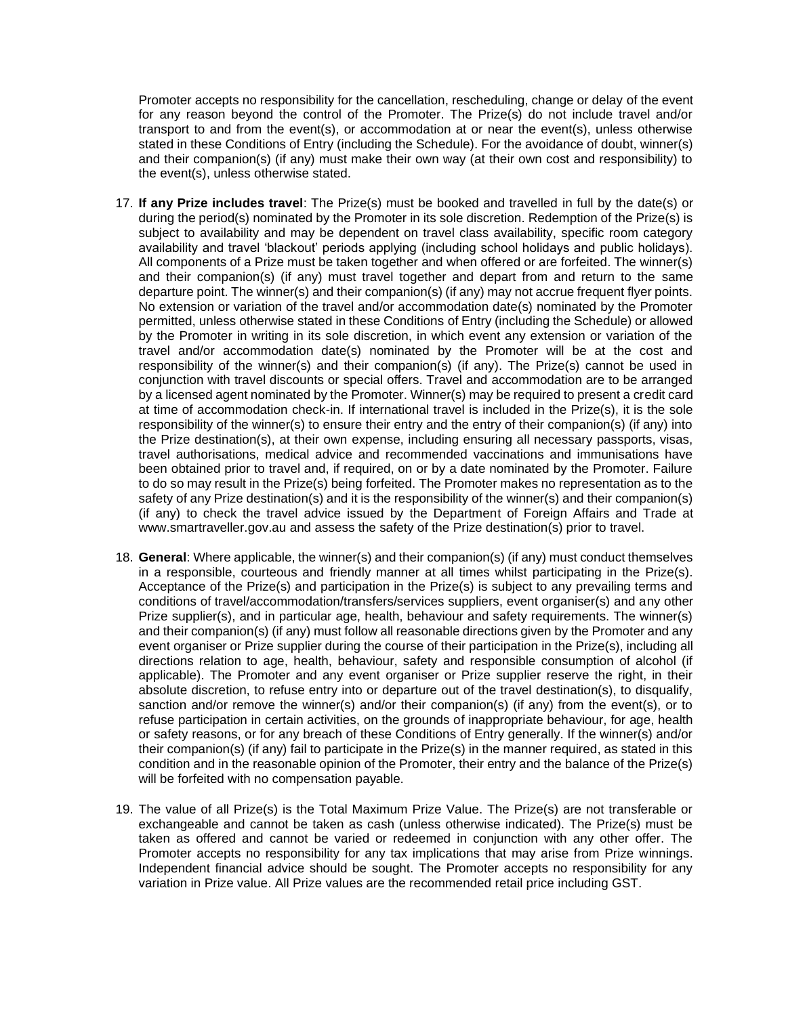Promoter accepts no responsibility for the cancellation, rescheduling, change or delay of the event for any reason beyond the control of the Promoter. The Prize(s) do not include travel and/or transport to and from the event(s), or accommodation at or near the event(s), unless otherwise stated in these Conditions of Entry (including the Schedule). For the avoidance of doubt, winner(s) and their companion(s) (if any) must make their own way (at their own cost and responsibility) to the event(s), unless otherwise stated.

- 17. **If any Prize includes travel**: The Prize(s) must be booked and travelled in full by the date(s) or during the period(s) nominated by the Promoter in its sole discretion. Redemption of the Prize(s) is subject to availability and may be dependent on travel class availability, specific room category availability and travel 'blackout' periods applying (including school holidays and public holidays). All components of a Prize must be taken together and when offered or are forfeited. The winner(s) and their companion(s) (if any) must travel together and depart from and return to the same departure point. The winner(s) and their companion(s) (if any) may not accrue frequent flyer points. No extension or variation of the travel and/or accommodation date(s) nominated by the Promoter permitted, unless otherwise stated in these Conditions of Entry (including the Schedule) or allowed by the Promoter in writing in its sole discretion, in which event any extension or variation of the travel and/or accommodation date(s) nominated by the Promoter will be at the cost and responsibility of the winner(s) and their companion(s) (if any). The Prize(s) cannot be used in conjunction with travel discounts or special offers. Travel and accommodation are to be arranged by a licensed agent nominated by the Promoter. Winner(s) may be required to present a credit card at time of accommodation check-in. If international travel is included in the Prize(s), it is the sole responsibility of the winner(s) to ensure their entry and the entry of their companion(s) (if any) into the Prize destination(s), at their own expense, including ensuring all necessary passports, visas, travel authorisations, medical advice and recommended vaccinations and immunisations have been obtained prior to travel and, if required, on or by a date nominated by the Promoter. Failure to do so may result in the Prize(s) being forfeited. The Promoter makes no representation as to the safety of any Prize destination(s) and it is the responsibility of the winner(s) and their companion(s) (if any) to check the travel advice issued by the Department of Foreign Affairs and Trade at www.smartraveller.gov.au and assess the safety of the Prize destination(s) prior to travel.
- 18. **General**: Where applicable, the winner(s) and their companion(s) (if any) must conduct themselves in a responsible, courteous and friendly manner at all times whilst participating in the Prize(s). Acceptance of the Prize(s) and participation in the Prize(s) is subject to any prevailing terms and conditions of travel/accommodation/transfers/services suppliers, event organiser(s) and any other Prize supplier(s), and in particular age, health, behaviour and safety requirements. The winner(s) and their companion(s) (if any) must follow all reasonable directions given by the Promoter and any event organiser or Prize supplier during the course of their participation in the Prize(s), including all directions relation to age, health, behaviour, safety and responsible consumption of alcohol (if applicable). The Promoter and any event organiser or Prize supplier reserve the right, in their absolute discretion, to refuse entry into or departure out of the travel destination(s), to disqualify, sanction and/or remove the winner(s) and/or their companion(s) (if any) from the event(s), or to refuse participation in certain activities, on the grounds of inappropriate behaviour, for age, health or safety reasons, or for any breach of these Conditions of Entry generally. If the winner(s) and/or their companion(s) (if any) fail to participate in the Prize(s) in the manner required, as stated in this condition and in the reasonable opinion of the Promoter, their entry and the balance of the Prize(s) will be forfeited with no compensation payable.
- 19. The value of all Prize(s) is the Total Maximum Prize Value. The Prize(s) are not transferable or exchangeable and cannot be taken as cash (unless otherwise indicated). The Prize(s) must be taken as offered and cannot be varied or redeemed in conjunction with any other offer. The Promoter accepts no responsibility for any tax implications that may arise from Prize winnings. Independent financial advice should be sought. The Promoter accepts no responsibility for any variation in Prize value. All Prize values are the recommended retail price including GST.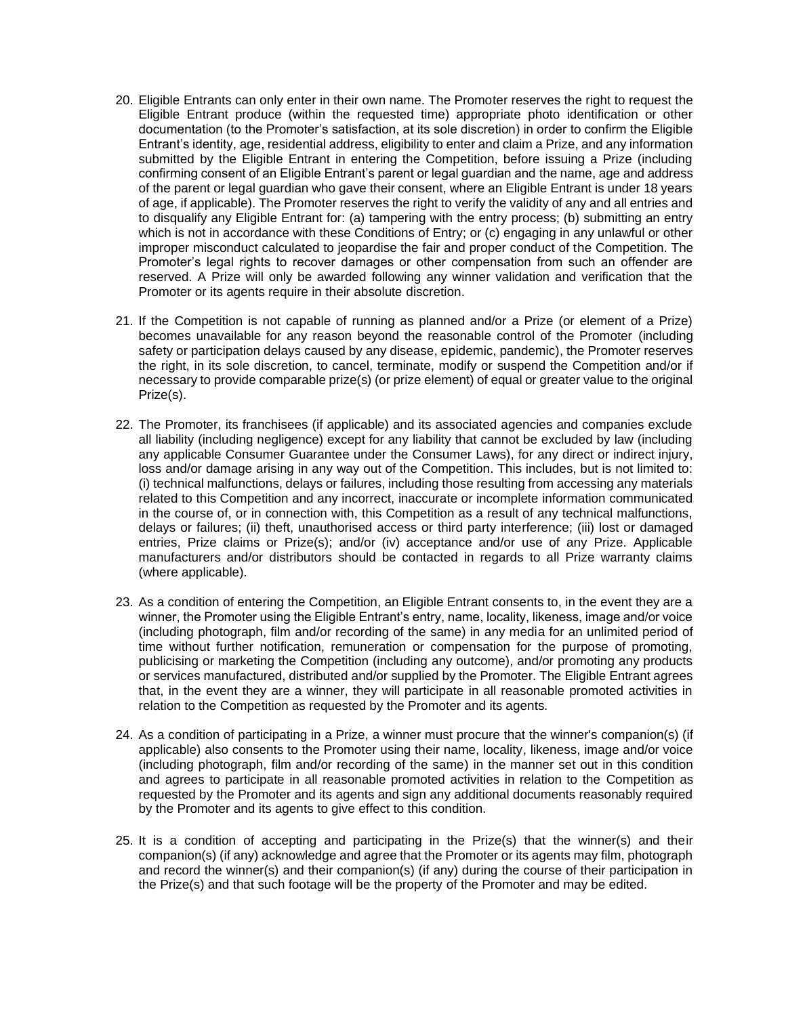- 20. Eligible Entrants can only enter in their own name. The Promoter reserves the right to request the Eligible Entrant produce (within the requested time) appropriate photo identification or other documentation (to the Promoter's satisfaction, at its sole discretion) in order to confirm the Eligible Entrant's identity, age, residential address, eligibility to enter and claim a Prize, and any information submitted by the Eligible Entrant in entering the Competition, before issuing a Prize (including confirming consent of an Eligible Entrant's parent or legal guardian and the name, age and address of the parent or legal guardian who gave their consent, where an Eligible Entrant is under 18 years of age, if applicable). The Promoter reserves the right to verify the validity of any and all entries and to disqualify any Eligible Entrant for: (a) tampering with the entry process; (b) submitting an entry which is not in accordance with these Conditions of Entry; or (c) engaging in any unlawful or other improper misconduct calculated to jeopardise the fair and proper conduct of the Competition. The Promoter's legal rights to recover damages or other compensation from such an offender are reserved. A Prize will only be awarded following any winner validation and verification that the Promoter or its agents require in their absolute discretion.
- 21. If the Competition is not capable of running as planned and/or a Prize (or element of a Prize) becomes unavailable for any reason beyond the reasonable control of the Promoter (including safety or participation delays caused by any disease, epidemic, pandemic), the Promoter reserves the right, in its sole discretion, to cancel, terminate, modify or suspend the Competition and/or if necessary to provide comparable prize(s) (or prize element) of equal or greater value to the original Prize(s).
- 22. The Promoter, its franchisees (if applicable) and its associated agencies and companies exclude all liability (including negligence) except for any liability that cannot be excluded by law (including any applicable Consumer Guarantee under the Consumer Laws), for any direct or indirect injury, loss and/or damage arising in any way out of the Competition. This includes, but is not limited to: (i) technical malfunctions, delays or failures, including those resulting from accessing any materials related to this Competition and any incorrect, inaccurate or incomplete information communicated in the course of, or in connection with, this Competition as a result of any technical malfunctions, delays or failures; (ii) theft, unauthorised access or third party interference; (iii) lost or damaged entries, Prize claims or Prize(s); and/or (iv) acceptance and/or use of any Prize. Applicable manufacturers and/or distributors should be contacted in regards to all Prize warranty claims (where applicable).
- 23. As a condition of entering the Competition, an Eligible Entrant consents to, in the event they are a winner, the Promoter using the Eligible Entrant's entry, name, locality, likeness, image and/or voice (including photograph, film and/or recording of the same) in any media for an unlimited period of time without further notification, remuneration or compensation for the purpose of promoting, publicising or marketing the Competition (including any outcome), and/or promoting any products or services manufactured, distributed and/or supplied by the Promoter. The Eligible Entrant agrees that, in the event they are a winner, they will participate in all reasonable promoted activities in relation to the Competition as requested by the Promoter and its agents.
- 24. As a condition of participating in a Prize, a winner must procure that the winner's companion(s) (if applicable) also consents to the Promoter using their name, locality, likeness, image and/or voice (including photograph, film and/or recording of the same) in the manner set out in this condition and agrees to participate in all reasonable promoted activities in relation to the Competition as requested by the Promoter and its agents and sign any additional documents reasonably required by the Promoter and its agents to give effect to this condition.
- 25. It is a condition of accepting and participating in the Prize(s) that the winner(s) and their companion(s) (if any) acknowledge and agree that the Promoter or its agents may film, photograph and record the winner(s) and their companion(s) (if any) during the course of their participation in the Prize(s) and that such footage will be the property of the Promoter and may be edited.